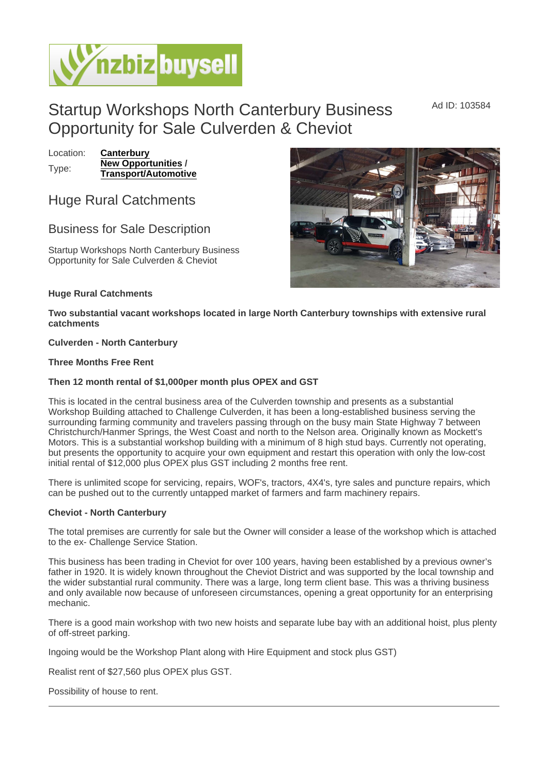## Startup Workshops North Canterbury Business Opportunity for Sale Culverden & Cheviot

Location: [Canterbury](https://www.nzbizbuysell.co.nz/businesses-for-sale/location/Canterbury) Type: [New Opportunities](https://www.nzbizbuysell.co.nz/businesses-for-sale/New-Opportunities/New-Zealand)/ Transport/Automotive

Huge Rural Catchments

## Business for Sale Description

Startup Workshops North Canterbury Business Opportunity for Sale Culverden & Cheviot

Huge Rural Catchments

Two substantial vacant workshops located in large North Canterbury townships with extensive rural catchments

Culverden - North Canterbury

Three Months Free Rent

Then 12 month rental of \$1,000per month plus OPEX and GST

This is located in the central business area of the Culverden township and presents as a substantial Workshop Building attached to Challenge Culverden, it has been a long-established business serving the surrounding farming community and travelers passing through on the busy main State Highway 7 between Christchurch/Hanmer Springs, the West Coast and north to the Nelson area. Originally known as Mockett's Motors. This is a substantial workshop building with a minimum of 8 high stud bays. Currently not operating, but presents the opportunity to acquire your own equipment and restart this operation with only the low-cost initial rental of \$12,000 plus OPEX plus GST including 2 months free rent.

There is unlimited scope for servicing, repairs, WOF's, tractors, 4X4's, tyre sales and puncture repairs, which can be pushed out to the currently untapped market of farmers and farm machinery repairs.

Cheviot - North Canterbury

The total premises are currently for sale but the Owner will consider a lease of the workshop which is attached to the ex- Challenge Service Station.

This business has been trading in Cheviot for over 100 years, having been established by a previous owner's father in 1920. It is widely known throughout the Cheviot District and was supported by the local township and the wider substantial rural community. There was a large, long term client base. This was a thriving business and only available now because of unforeseen circumstances, opening a great opportunity for an enterprising mechanic.

There is a good main workshop with two new hoists and separate lube bay with an additional hoist, plus plenty of off-street parking.

Ingoing would be the Workshop Plant along with Hire Equipment and stock plus GST)

Realist rent of \$27,560 plus OPEX plus GST.

Possibility of house to rent.